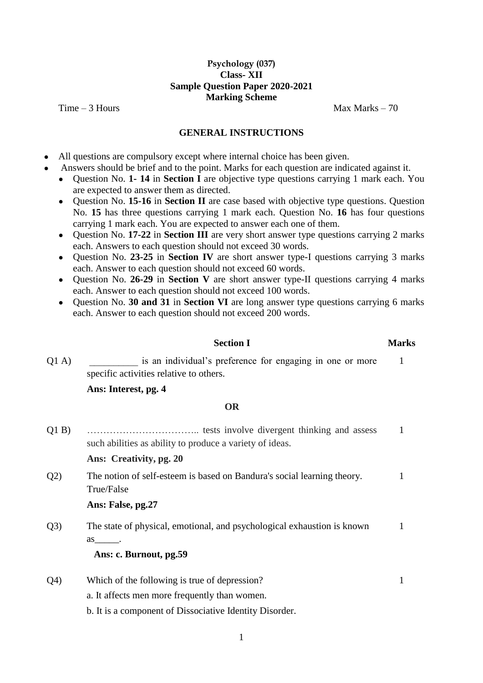## **Psychology (037) Class- XII Sample Question Paper 2020-2021 Marking Scheme**

 $Time - 3$  Hours Max Marks  $-70$ 

1

#### **GENERAL INSTRUCTIONS**

- All questions are compulsory except where internal choice has been given.
- Answers should be brief and to the point. Marks for each question are indicated against it.
	- Question No. **1- 14** in **Section I** are objective type questions carrying 1 mark each. You are expected to answer them as directed.
	- Question No. **15-16** in **Section II** are case based with objective type questions. Question No. **15** has three questions carrying 1 mark each. Question No. **16** has four questions carrying 1 mark each. You are expected to answer each one of them.
	- Question No. **17-22** in **Section III** are very short answer type questions carrying 2 marks each. Answers to each question should not exceed 30 words.
	- Question No. **23-25** in **Section IV** are short answer type-I questions carrying 3 marks each. Answer to each question should not exceed 60 words.
	- Question No. **26-29** in **Section V** are short answer type-II questions carrying 4 marks each. Answer to each question should not exceed 100 words.
	- Question No. **30 and 31** in **Section VI** are long answer type questions carrying 6 marks each. Answer to each question should not exceed 200 words.

#### **Section I Marks**

Q1 A) is an individual's preference for engaging in one or more specific activities relative to others.

#### **Ans: Interest, pg. 4**

#### **OR**

Q1 B) …………………………….. tests involve divergent thinking and assess such abilities as ability to produce a variety of ideas. 1

**Ans: Creativity, pg. 20**

Q2) The notion of self-esteem is based on Bandura's social learning theory. True/False 1

## **Ans: False, pg.27**

Q3) The state of physical, emotional, and psychological exhaustion is known as\_\_\_\_\_. 1

## **Ans: c. Burnout, pg.59**

- Q4) Which of the following is true of depression? a. It affects men more frequently than women. 1
	- b. It is a component of Dissociative Identity Disorder.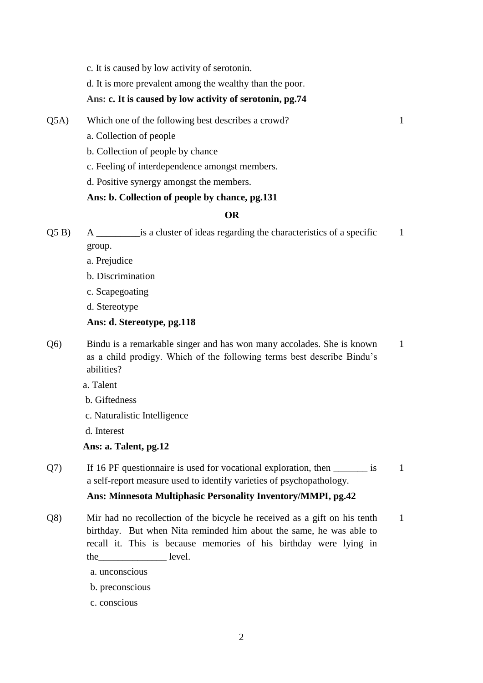c. It is caused by low activity of serotonin.

d. It is more prevalent among the wealthy than the poor.

## **Ans: c. It is caused by low activity of serotonin, pg.74**

Q5A) Which one of the following best describes a crowd?

1

- a. Collection of people
- b. Collection of people by chance
- c. Feeling of interdependence amongst members.
- d. Positive synergy amongst the members.

## **Ans: b. Collection of people by chance, pg.131**

## **OR**

Q5 B) A \_\_\_\_\_\_\_\_\_is a cluster of ideas regarding the characteristics of a specific group. 1

- a. Prejudice
- b. Discrimination
- c. Scapegoating
- d. Stereotype

## **Ans: d. Stereotype, pg.118**

- Q6) Bindu is a remarkable singer and has won many accolades. She is known as a child prodigy. Which of the following terms best describe Bindu's abilities? 1
	- a. Talent
	- b. Giftedness
	- c. Naturalistic Intelligence
	- d. Interest

## **Ans: a. Talent, pg.12**

Q7) If 16 PF questionnaire is used for vocational exploration, then \_\_\_\_\_\_\_\_ is a self-report measure used to identify varieties of psychopathology. 1

## **Ans: Minnesota Multiphasic Personality Inventory/MMPI, pg.42**

- Q8) Mir had no recollection of the bicycle he received as a gift on his tenth birthday. But when Nita reminded him about the same, he was able to recall it. This is because memories of his birthday were lying in the level. 1
	- a. unconscious
	- b. preconscious
	- c. conscious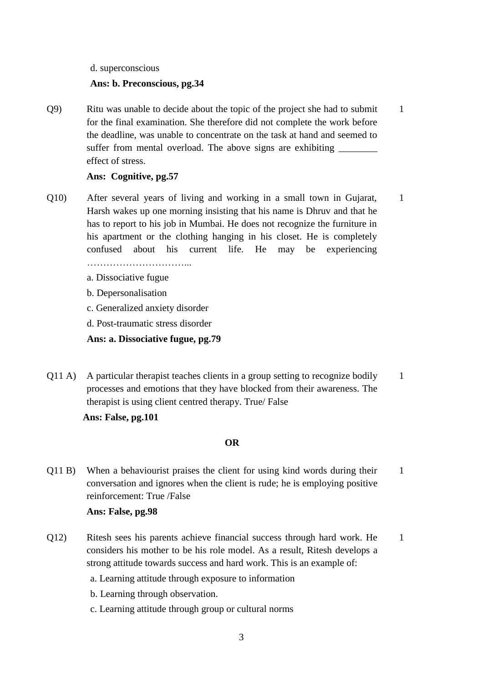#### d. superconscious

#### **Ans: b. Preconscious, pg.34**

Q9) Ritu was unable to decide about the topic of the project she had to submit for the final examination. She therefore did not complete the work before the deadline, was unable to concentrate on the task at hand and seemed to suffer from mental overload. The above signs are exhibiting effect of stress. 1

## **Ans: Cognitive, pg.57**

- Q10) After several years of living and working in a small town in Gujarat, Harsh wakes up one morning insisting that his name is Dhruv and that he has to report to his job in Mumbai. He does not recognize the furniture in his apartment or the clothing hanging in his closet. He is completely confused about his current life. He may be experiencing 1
	-
	- a. Dissociative fugue
	- b. Depersonalisation
	- c. Generalized anxiety disorder
	- d. Post-traumatic stress disorder

**Ans: a. Dissociative fugue, pg.79**

Q11 A) A particular therapist teaches clients in a group setting to recognize bodily processes and emotions that they have blocked from their awareness. The therapist is using client centred therapy. True/ False 1

**Ans: False, pg.101**

#### **OR**

Q11 B) When a behaviourist praises the client for using kind words during their conversation and ignores when the client is rude; he is employing positive reinforcement: True /False 1

## **Ans: False, pg.98**

- Q12) Ritesh sees his parents achieve financial success through hard work. He considers his mother to be his role model. As a result, Ritesh develops a strong attitude towards success and hard work. This is an example of: 1
	- a. Learning attitude through exposure to information
	- b. Learning through observation.
	- c. Learning attitude through group or cultural norms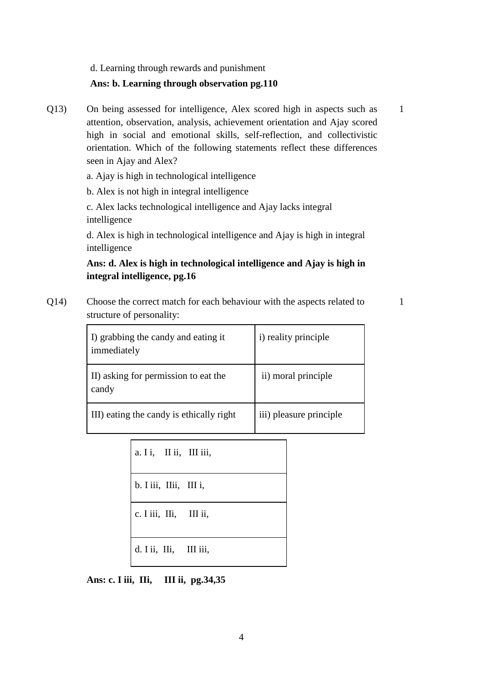d. Learning through rewards and punishment

#### **Ans: b. Learning through observation pg.110**

Q13) On being assessed for intelligence, Alex scored high in aspects such as attention, observation, analysis, achievement orientation and Ajay scored high in social and emotional skills, self-reflection, and collectivistic orientation. Which of the following statements reflect these differences seen in Ajay and Alex? 1

a. Ajay is high in technological intelligence

b. Alex is not high in integral intelligence

c. Alex lacks technological intelligence and Ajay lacks integral intelligence

d. Alex is high in technological intelligence and Ajay is high in integral intelligence

# **Ans: d. Alex is high in technological intelligence and Ajay is high in integral intelligence, pg.16**

Q14) Choose the correct match for each behaviour with the aspects related to structure of personality:

1

| I) grabbing the candy and eating it<br>immediately | i) reality principle    |
|----------------------------------------------------|-------------------------|
| II) asking for permission to eat the<br>candy      | ii) moral principle     |
| III) eating the candy is ethically right           | iii) pleasure principle |

| a. I i, II ii, III iii,   |  |
|---------------------------|--|
| b. I iii, I I iii, III i, |  |
| c. I iii, IIi, III ii,    |  |
| d. I ii, IIi, III iii,    |  |

**Ans: c. I iii, IIi, III ii, pg.34,35**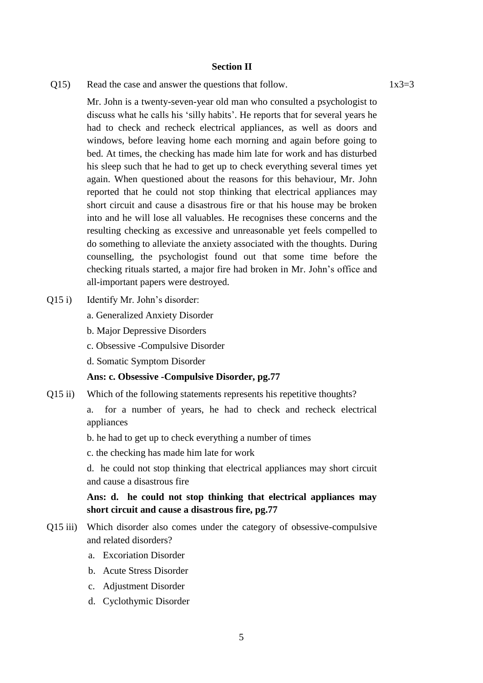#### **Section II**

 $Q15$  Read the case and answer the questions that follow. 1x3=3

Mr. John is a twenty-seven-year old man who consulted a psychologist to discuss what he calls his 'silly habits'. He reports that for several years he had to check and recheck electrical appliances, as well as doors and windows, before leaving home each morning and again before going to bed. At times, the checking has made him late for work and has disturbed his sleep such that he had to get up to check everything several times yet again. When questioned about the reasons for this behaviour, Mr. John reported that he could not stop thinking that electrical appliances may short circuit and cause a disastrous fire or that his house may be broken into and he will lose all valuables. He recognises these concerns and the resulting checking as excessive and unreasonable yet feels compelled to do something to alleviate the anxiety associated with the thoughts. During counselling, the psychologist found out that some time before the checking rituals started, a major fire had broken in Mr. John's office and all-important papers were destroyed.

- Q15 i) Identify Mr. John's disorder:
	- a. Generalized Anxiety Disorder
	- b. Major Depressive Disorders
	- c. Obsessive -Compulsive Disorder
	- d. Somatic Symptom Disorder

#### **Ans: c. Obsessive -Compulsive Disorder, pg.77**

Q15 ii) Which of the following statements represents his repetitive thoughts?

a. for a number of years, he had to check and recheck electrical appliances

b. he had to get up to check everything a number of times

c. the checking has made him late for work

d. he could not stop thinking that electrical appliances may short circuit and cause a disastrous fire

**Ans: d. he could not stop thinking that electrical appliances may short circuit and cause a disastrous fire, pg.77**

- Q15 iii) Which disorder also comes under the category of obsessive-compulsive and related disorders?
	- a. Excoriation Disorder
	- b. Acute Stress Disorder
	- c. Adjustment Disorder
	- d. Cyclothymic Disorder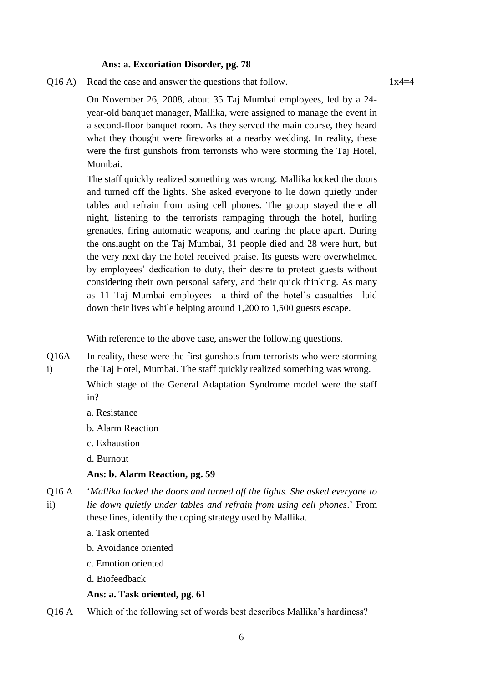#### **Ans: a. Excoriation Disorder, pg. 78**

 $Q16 A$ ) Read the case and answer the questions that follow. 1x4=4

On November 26, 2008, about 35 Taj Mumbai employees, led by a 24 year-old banquet manager, Mallika, were assigned to manage the event in a second-floor banquet room. As they served the main course, they heard what they thought were fireworks at a nearby wedding. In reality, these were the first gunshots from terrorists who were storming the Taj Hotel, Mumbai.

The staff quickly realized something was wrong. Mallika locked the doors and turned off the lights. She asked everyone to lie down quietly under tables and refrain from using cell phones. The group stayed there all night, listening to the terrorists rampaging through the hotel, hurling grenades, firing automatic weapons, and tearing the place apart. During the onslaught on the Taj Mumbai, 31 people died and 28 were hurt, but the very next day the hotel received praise. Its guests were overwhelmed by employees' dedication to duty, their desire to protect guests without considering their own personal safety, and their quick thinking. As many as 11 Taj Mumbai employees—a third of the hotel's casualties—laid down their lives while helping around 1,200 to 1,500 guests escape.

With reference to the above case, answer the following questions.

Q16A i) In reality, these were the first gunshots from terrorists who were storming the Taj Hotel, Mumbai. The staff quickly realized something was wrong. Which stage of the General Adaptation Syndrome model were the staff

in?

- a. Resistance
- b. Alarm Reaction
- c. Exhaustion
- d. Burnout

#### **Ans: b. Alarm Reaction, pg. 59**

Q16 A ii) '*Mallika locked the doors and turned off the lights. She asked everyone to lie down quietly under tables and refrain from using cell phones*.' From these lines, identify the coping strategy used by Mallika.

- a. Task oriented
- b. Avoidance oriented
- c. Emotion oriented
- d. Biofeedback

#### **Ans: a. Task oriented, pg. 61**

Q16 A Which of the following set of words best describes Mallika's hardiness?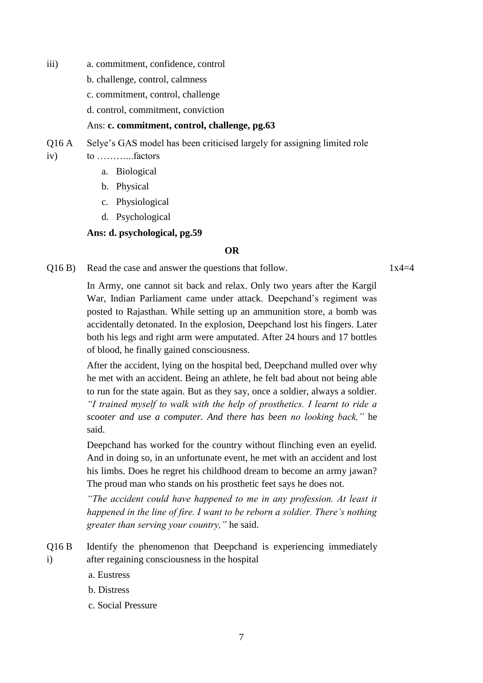- iii) a. commitment, confidence, control
	- b. challenge, control, calmness
	- c. commitment, control, challenge
	- d. control, commitment, conviction

#### Ans: **c. commitment, control, challenge, pg.63**

Q16 A Selye's GAS model has been criticised largely for assigning limited role

iv) to ………...factors

- a. Biological
- b. Physical
- c. Physiological
- d. Psychological

## **Ans: d. psychological, pg.59**

#### **OR**

 $Q16 B$ ) Read the case and answer the questions that follow. 1x4=4

In Army, one cannot sit back and relax. Only two years after the Kargil War, Indian Parliament came under attack. Deepchand's regiment was posted to Rajasthan. While setting up an ammunition store, a bomb was accidentally detonated. In the explosion, Deepchand lost his fingers. Later both his legs and right arm were amputated. After 24 hours and 17 bottles of blood, he finally gained consciousness.

After the accident, lying on the hospital bed, Deepchand mulled over why he met with an accident. Being an athlete, he felt bad about not being able to run for the state again. But as they say, once a soldier, always a soldier*. "I trained myself to walk with the help of prosthetics. I learnt to ride a scooter and use a computer. And there has been no looking back,"* he said.

Deepchand has worked for the country without flinching even an eyelid. And in doing so, in an unfortunate event, he met with an accident and lost his limbs. Does he regret his childhood dream to become an army jawan? The proud man who stands on his prosthetic feet says he does not.

*"The accident could have happened to me in any profession. At least it happened in the line of fire. I want to be reborn a soldier. There's nothing greater than serving your country,"* he said.

- Q16 B i) Identify the phenomenon that Deepchand is experiencing immediately after regaining consciousness in the hospital
	- a. Eustress
	- b. Distress
	- c. Social Pressure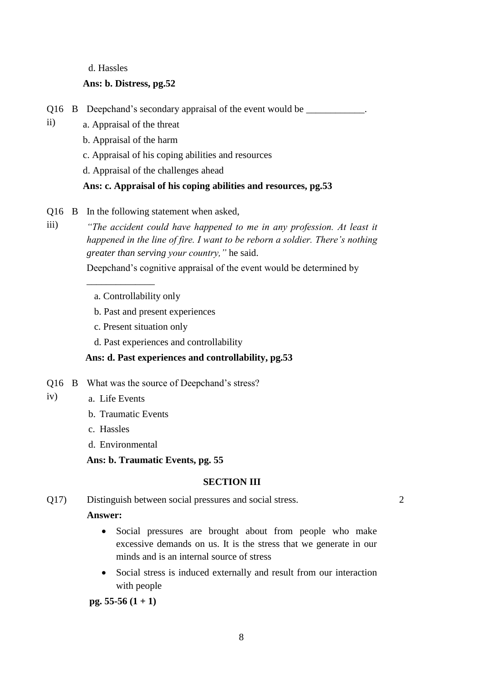d. Hassles

## **Ans: b. Distress, pg.52**

- Q16 B Deepchand's secondary appraisal of the event would be \_\_\_\_\_\_\_\_\_\_\_.
- ii) a. Appraisal of the threat
	- b. Appraisal of the harm
	- c. Appraisal of his coping abilities and resources
	- d. Appraisal of the challenges ahead

## **Ans: c. Appraisal of his coping abilities and resources, pg.53**

Q16 B In the following statement when asked,

*"The accident could have happened to me in any profession. At least it happened in the line of fire. I want to be reborn a soldier. There's nothing greater than serving your country,"* he said.

Deepchand's cognitive appraisal of the event would be determined by

a. Controllability only

\_\_\_\_\_\_\_\_\_\_\_\_\_\_

- b. Past and present experiences
- c. Present situation only
- d. Past experiences and controllability

# **Ans: d. Past experiences and controllability, pg.53**

- Q16 B What was the source of Deepchand's stress?
- iv) a. Life Events

iii)

- b. Traumatic Events
- c. Hassles
- d. Environmental

**Ans: b. Traumatic Events, pg. 55**

## **SECTION III**

Q17) Distinguish between social pressures and social stress.

## **Answer:**

 Social pressures are brought about from people who make excessive demands on us. It is the stress that we generate in our minds and is an internal source of stress

2

 Social stress is induced externally and result from our interaction with people

**pg. 55-56 (1 + 1)**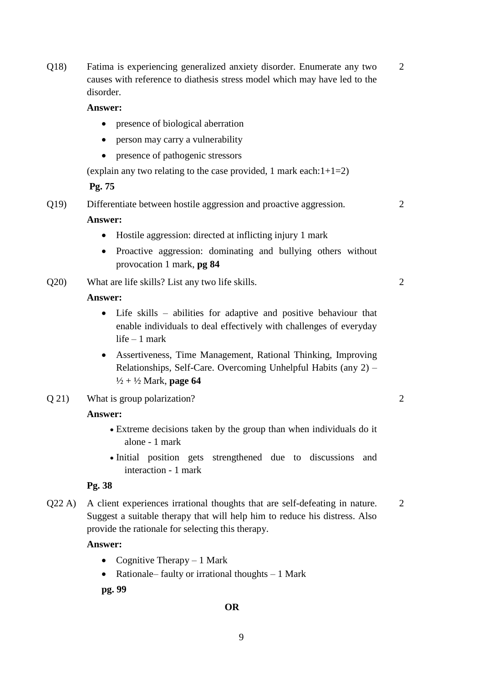Q18) Fatima is experiencing generalized anxiety disorder. Enumerate any two causes with reference to diathesis stress model which may have led to the disorder. 2

#### **Answer:**

- presence of biological aberration
- person may carry a vulnerability
- presence of pathogenic stressors

(explain any two relating to the case provided, 1 mark each: $1+1=2$ )

**Pg. 75**

Q19) Differentiate between hostile aggression and proactive aggression.

#### **Answer:**

- Hostile aggression: directed at inflicting injury 1 mark
- Proactive aggression: dominating and bullying others without provocation 1 mark, **pg 84**
- Q20) What are life skills? List any two life skills.

## **Answer:**

- Life skills abilities for adaptive and positive behaviour that enable individuals to deal effectively with challenges of everyday life – 1 mark
- Assertiveness, Time Management, Rational Thinking, Improving Relationships, Self-Care. Overcoming Unhelpful Habits (any 2) – ½ + ½ Mark, **page 64**
- Q 21) What is group polarization?

#### **Answer:**

- Extreme decisions taken by the group than when individuals do it alone - 1 mark
- Initial position gets strengthened due to discussions and interaction - 1 mark

## **Pg. 38**

Q22 A) A client experiences irrational thoughts that are self-defeating in nature. Suggest a suitable therapy that will help him to reduce his distress. Also provide the rationale for selecting this therapy. 2

#### **Answer:**

- Cognitive Therapy  $-1$  Mark
- Rationale– faulty or irrational thoughts 1 Mark

**pg. 99**

#### **OR**

 $\overline{2}$ 

2

2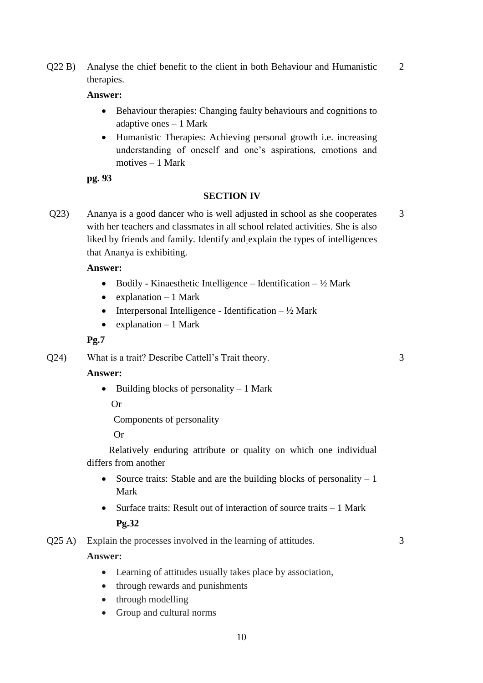Q22 B) Analyse the chief benefit to the client in both Behaviour and Humanistic therapies.

# **Answer:**

- Behaviour therapies: Changing faulty behaviours and cognitions to adaptive ones – 1 Mark
- Humanistic Therapies: Achieving personal growth i.e. increasing understanding of oneself and one's aspirations, emotions and motives – 1 Mark

**pg. 93**

## **SECTION IV**

Q23) Ananya is a good dancer who is well adjusted in school as she cooperates with her teachers and classmates in all school related activities. She is also liked by friends and family. Identify and explain the types of intelligences that Ananya is exhibiting.

## **Answer:**

- Bodily Kinaesthetic Intelligence Identification  $\frac{1}{2}$  Mark
- $\bullet$  explanation 1 Mark
- Interpersonal Intelligence Identification  $-\frac{1}{2}$  Mark
- explanation  $-1$  Mark

## **Pg.7**

Q24) What is a trait? Describe Cattell's Trait theory.

# **Answer:**

 $\bullet$  Building blocks of personality – 1 Mark

Or

Components of personality

Or

 Relatively enduring attribute or quality on which one individual differs from another

- Source traits: Stable and are the building blocks of personality  $-1$ Mark
- Surface traits: Result out of interaction of source traits 1 Mark **Pg.32**
- Q25 A) Explain the processes involved in the learning of attitudes.

## **Answer:**

- Learning of attitudes usually takes place by association,
- through rewards and punishments
- through modelling
- Group and cultural norms

# 3

# 2

3

3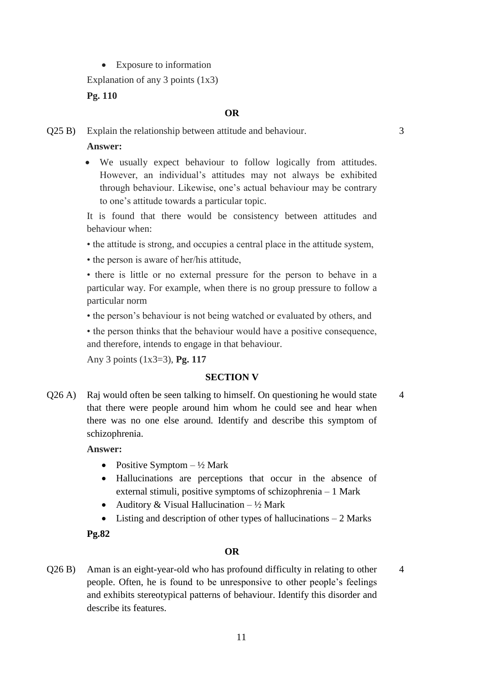• Exposure to information

Explanation of any 3 points  $(1x3)$ 

# **Pg. 110**

#### **OR**

3

4

Q25 B) Explain the relationship between attitude and behaviour.

#### **Answer:**

 We usually expect behaviour to follow logically from attitudes. However, an individual's attitudes may not always be exhibited through behaviour. Likewise, one's actual behaviour may be contrary to one's attitude towards a particular topic.

It is found that there would be consistency between attitudes and behaviour when:

- the attitude is strong, and occupies a central place in the attitude system,
- the person is aware of her/his attitude,

• there is little or no external pressure for the person to behave in a particular way. For example, when there is no group pressure to follow a particular norm

• the person's behaviour is not being watched or evaluated by others, and

• the person thinks that the behaviour would have a positive consequence, and therefore, intends to engage in that behaviour.

Any 3 points (1x3=3), **Pg. 117**

## **SECTION V**

Q26 A) Raj would often be seen talking to himself. On questioning he would state that there were people around him whom he could see and hear when there was no one else around. Identify and describe this symptom of schizophrenia. 4

#### **Answer:**

- Positive Symptom  $-\frac{1}{2}$  Mark
- Hallucinations are perceptions that occur in the absence of external stimuli, positive symptoms of schizophrenia – 1 Mark
- Auditory & Visual Hallucination  $-\frac{1}{2}$  Mark
- $\bullet$  Listing and description of other types of hallucinations  $-2$  Marks

## **Pg.82**

#### **OR**

Q26 B) Aman is an eight-year-old who has profound difficulty in relating to other people. Often, he is found to be unresponsive to other people's feelings and exhibits stereotypical patterns of behaviour. Identify this disorder and describe its features.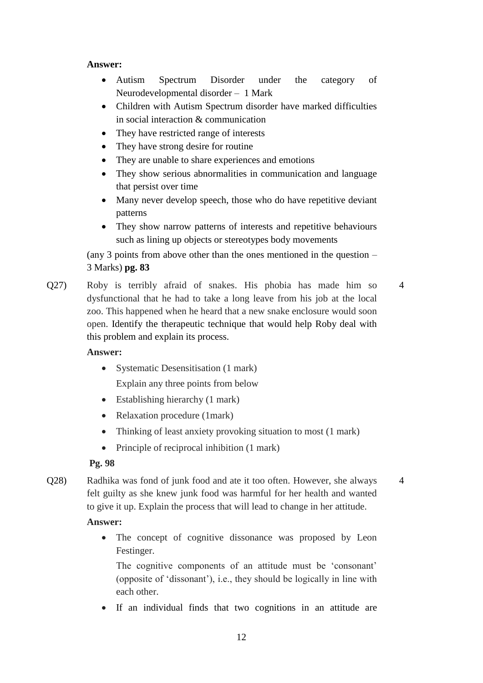# **Answer:**

- Autism Spectrum Disorder under the category of Neurodevelopmental disorder – 1 Mark
- Children with Autism Spectrum disorder have marked difficulties in social interaction & communication
- They have restricted range of interests
- They have strong desire for routine
- They are unable to share experiences and emotions
- They show serious abnormalities in communication and language that persist over time
- Many never develop speech, those who do have repetitive deviant patterns
- They show narrow patterns of interests and repetitive behaviours such as lining up objects or stereotypes body movements

(any 3 points from above other than the ones mentioned in the question – 3 Marks) **pg. 83**

Q27) Roby is terribly afraid of snakes. His phobia has made him so dysfunctional that he had to take a long leave from his job at the local zoo. This happened when he heard that a new snake enclosure would soon open. Identify the therapeutic technique that would help Roby deal with this problem and explain its process. 4

# **Answer:**

- Systematic Desensitisation (1 mark) Explain any three points from below
- Establishing hierarchy (1 mark)
- Relaxation procedure (1mark)
- Thinking of least anxiety provoking situation to most (1 mark)
- Principle of reciprocal inhibition (1 mark)

# **Pg. 98**

Q28) Radhika was fond of junk food and ate it too often. However, she always felt guilty as she knew junk food was harmful for her health and wanted to give it up. Explain the process that will lead to change in her attitude. 4

# **Answer:**

• The concept of cognitive dissonance was proposed by Leon Festinger.

The cognitive components of an attitude must be 'consonant' (opposite of 'dissonant'), i.e., they should be logically in line with each other.

If an individual finds that two cognitions in an attitude are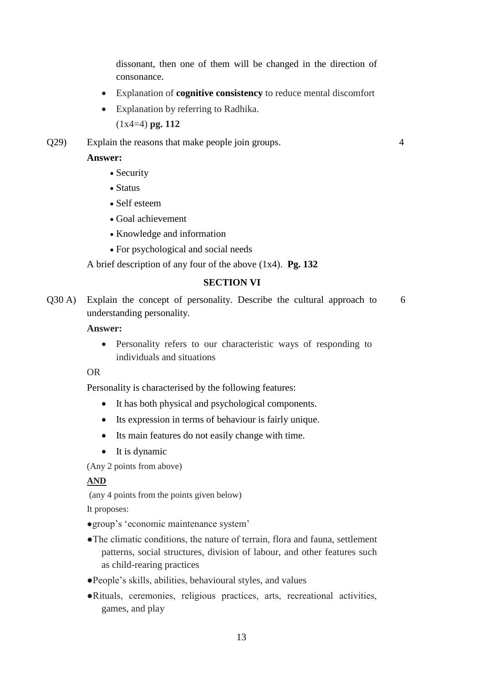dissonant, then one of them will be changed in the direction of consonance.

4

- Explanation of **cognitive consistency** to reduce mental discomfort
- Explanation by referring to Radhika.

(1x4=4) **pg. 112**

Q29) Explain the reasons that make people join groups.

## **Answer:**

- Security
- Status
- Self esteem
- Goal achievement
- Knowledge and information
- For psychological and social needs

A brief description of any four of the above (1x4). **Pg. 132**

## **SECTION VI**

Q30 A) Explain the concept of personality. Describe the cultural approach to understanding personality. 6

#### **Answer:**

 Personality refers to our characteristic ways of responding to individuals and situations

## OR

Personality is characterised by the following features:

- It has both physical and psychological components.
- Its expression in terms of behaviour is fairly unique.
- Its main features do not easily change with time.
- It is dynamic

(Any 2 points from above)

## **AND**

(any 4 points from the points given below)

It proposes:

- ●group's 'economic maintenance system'
- ●The climatic conditions, the nature of terrain, flora and fauna, settlement patterns, social structures, division of labour, and other features such as child-rearing practices
- ●People's skills, abilities, behavioural styles, and values
- ●Rituals, ceremonies, religious practices, arts, recreational activities, games, and play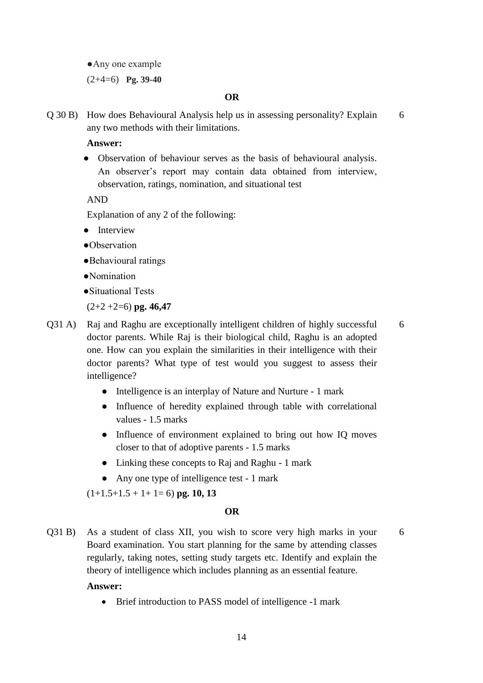●Any one example (2+4=6) **Pg. 39-40**

#### **OR**

Q 30 B) How does Behavioural Analysis help us in assessing personality? Explain any two methods with their limitations. 6

#### **Answer:**

• Observation of behaviour serves as the basis of behavioural analysis. An observer's report may contain data obtained from interview, observation, ratings, nomination, and situational test

AND

Explanation of any 2 of the following:

- Interview
- ●Observation
- ●Behavioural ratings
- ●Nomination
- ●Situational Tests

(2+2 +2=6) **pg. 46,47**

- Q31 A) Raj and Raghu are exceptionally intelligent children of highly successful doctor parents. While Raj is their biological child, Raghu is an adopted one. How can you explain the similarities in their intelligence with their doctor parents? What type of test would you suggest to assess their intelligence? 6
	- Intelligence is an interplay of Nature and Nurture 1 mark
	- Influence of heredity explained through table with correlational values - 1.5 marks
	- Influence of environment explained to bring out how IQ moves closer to that of adoptive parents - 1.5 marks
	- Linking these concepts to Raj and Raghu 1 mark
	- Any one type of intelligence test 1 mark

 $(1+1.5+1.5+1+1=6)$  **pg.** 10, 13

### **OR**

6

Q31 B) As a student of class XII, you wish to score very high marks in your Board examination. You start planning for the same by attending classes regularly, taking notes, setting study targets etc. Identify and explain the theory of intelligence which includes planning as an essential feature.

#### **Answer:**

• Brief introduction to PASS model of intelligence -1 mark